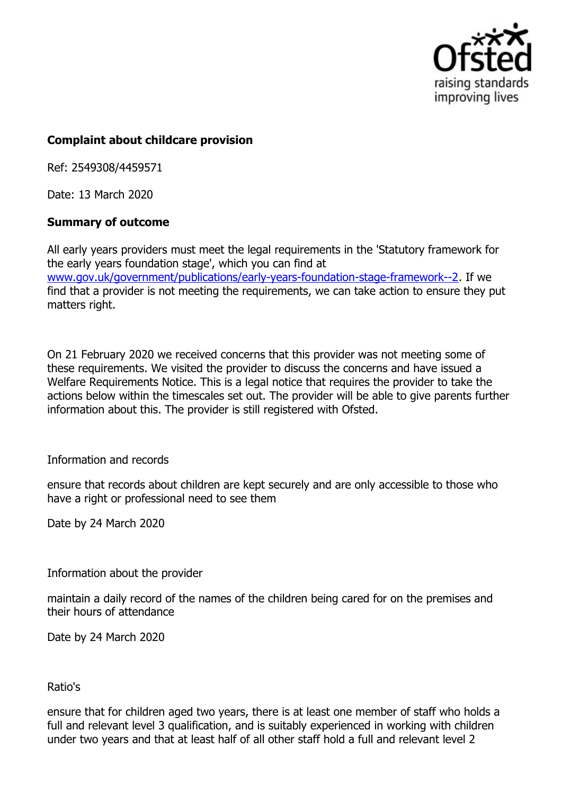

## **Complaint about childcare provision**

Ref: 2549308/4459571

Date: 13 March 2020

## **Summary of outcome**

All early years providers must meet the legal requirements in the 'Statutory framework for the early years foundation stage', which you can find at www.gov.uk/government/publications/early-years-foundation-stage-framework--2. If we find that a provider is not meeting the requirements, we can take action to ensure they put matters right.

On 21 February 2020 we received concerns that this provider was not meeting some of these requirements. We visited the provider to discuss the concerns and have issued a Welfare Requirements Notice. This is a legal notice that requires the provider to take the actions below within the timescales set out. The provider will be able to give parents further information about this. The provider is still registered with Ofsted.

Information and records

ensure that records about children are kept securely and are only accessible to those who have a right or professional need to see them

Date by 24 March 2020

Information about the provider

maintain a daily record of the names of the children being cared for on the premises and their hours of attendance

Date by 24 March 2020

## Ratio's

ensure that for children aged two years, there is at least one member of staff who holds a full and relevant level 3 qualification, and is suitably experienced in working with children under two years and that at least half of all other staff hold a full and relevant level 2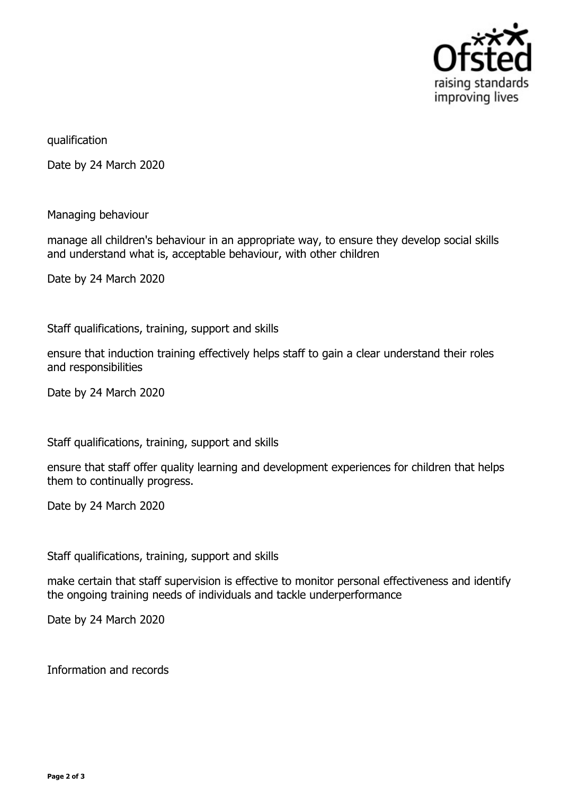

qualification

Date by 24 March 2020

Managing behaviour

manage all children's behaviour in an appropriate way, to ensure they develop social skills and understand what is, acceptable behaviour, with other children

Date by 24 March 2020

Staff qualifications, training, support and skills

ensure that induction training effectively helps staff to gain a clear understand their roles and responsibilities

Date by 24 March 2020

Staff qualifications, training, support and skills

ensure that staff offer quality learning and development experiences for children that helps them to continually progress.

Date by 24 March 2020

Staff qualifications, training, support and skills

make certain that staff supervision is effective to monitor personal effectiveness and identify the ongoing training needs of individuals and tackle underperformance

Date by 24 March 2020

Information and records